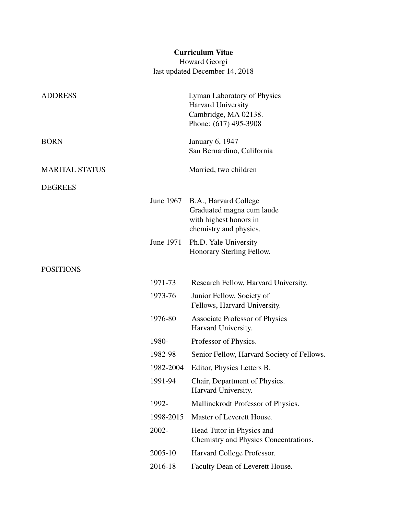# Curriculum Vitae

Howard Georgi last updated December 14, 2018

| <b>ADDRESS</b>        |           | Lyman Laboratory of Physics<br>Harvard University<br>Cambridge, MA 02138.<br>Phone: (617) 495-3908     |
|-----------------------|-----------|--------------------------------------------------------------------------------------------------------|
| <b>BORN</b>           |           | January 6, 1947<br>San Bernardino, California                                                          |
| <b>MARITAL STATUS</b> |           | Married, two children                                                                                  |
| <b>DEGREES</b>        |           |                                                                                                        |
|                       | June 1967 | B.A., Harvard College<br>Graduated magna cum laude<br>with highest honors in<br>chemistry and physics. |
|                       | June 1971 | Ph.D. Yale University<br>Honorary Sterling Fellow.                                                     |
| <b>POSITIONS</b>      |           |                                                                                                        |
|                       | 1971-73   | Research Fellow, Harvard University.                                                                   |
|                       | 1973-76   | Junior Fellow, Society of<br>Fellows, Harvard University.                                              |
|                       | 1976-80   | <b>Associate Professor of Physics</b><br>Harvard University.                                           |
|                       | 1980-     | Professor of Physics.                                                                                  |
|                       | 1982-98   | Senior Fellow, Harvard Society of Fellows.                                                             |
|                       | 1982-2004 | Editor, Physics Letters B.                                                                             |
|                       | 1991-94   | Chair, Department of Physics.<br>Harvard University.                                                   |
|                       | 1992-     | Mallinckrodt Professor of Physics.                                                                     |
|                       | 1998-2015 | Master of Leverett House.                                                                              |
|                       | 2002-     | Head Tutor in Physics and<br>Chemistry and Physics Concentrations.                                     |
|                       | 2005-10   | Harvard College Professor.                                                                             |
|                       | 2016-18   | Faculty Dean of Leverett House.                                                                        |
|                       |           |                                                                                                        |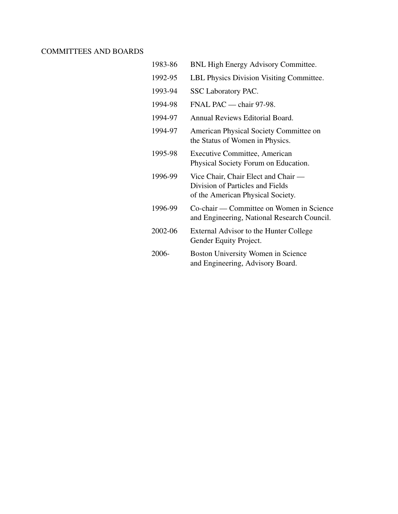## COMMITTEES AND BOARDS

| 1983-86 | <b>BNL High Energy Advisory Committee.</b>                                                                   |
|---------|--------------------------------------------------------------------------------------------------------------|
| 1992-95 | LBL Physics Division Visiting Committee.                                                                     |
| 1993-94 | SSC Laboratory PAC.                                                                                          |
| 1994-98 | FNAL PAC — chair 97-98.                                                                                      |
| 1994-97 | Annual Reviews Editorial Board.                                                                              |
| 1994-97 | American Physical Society Committee on<br>the Status of Women in Physics.                                    |
| 1995-98 | <b>Executive Committee, American</b><br>Physical Society Forum on Education.                                 |
| 1996-99 | Vice Chair, Chair Elect and Chair —<br>Division of Particles and Fields<br>of the American Physical Society. |
| 1996-99 | Co-chair — Committee on Women in Science<br>and Engineering, National Research Council.                      |
| 2002-06 | External Advisor to the Hunter College<br>Gender Equity Project.                                             |
| 2006-   | Boston University Women in Science<br>and Engineering, Advisory Board.                                       |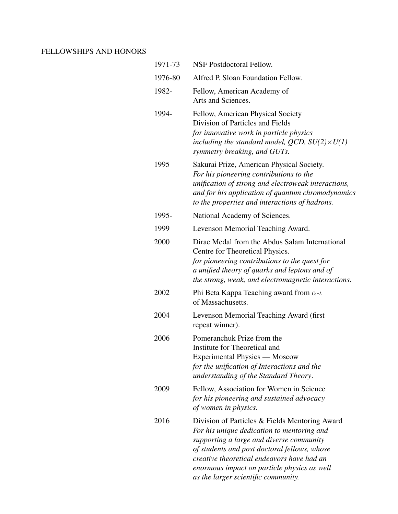## FELLOWSHIPS AND HONORS

| 1971-73 | <b>NSF Postdoctoral Fellow.</b>                                                                                                                                                                                                                                                                                              |
|---------|------------------------------------------------------------------------------------------------------------------------------------------------------------------------------------------------------------------------------------------------------------------------------------------------------------------------------|
| 1976-80 | Alfred P. Sloan Foundation Fellow.                                                                                                                                                                                                                                                                                           |
| 1982-   | Fellow, American Academy of<br>Arts and Sciences.                                                                                                                                                                                                                                                                            |
| 1994-   | Fellow, American Physical Society<br>Division of Particles and Fields<br>for innovative work in particle physics<br>including the standard model, QCD, $SU(2)\times U(1)$<br>symmetry breaking, and GUTs.                                                                                                                    |
| 1995    | Sakurai Prize, American Physical Society.<br>For his pioneering contributions to the<br>unification of strong and electroweak interactions,<br>and for his application of quantum chromodynamics<br>to the properties and interactions of hadrons.                                                                           |
| 1995-   | National Academy of Sciences.                                                                                                                                                                                                                                                                                                |
| 1999    | Levenson Memorial Teaching Award.                                                                                                                                                                                                                                                                                            |
| 2000    | Dirac Medal from the Abdus Salam International<br>Centre for Theoretical Physics.<br>for pioneering contributions to the quest for<br>a unified theory of quarks and leptons and of<br>the strong, weak, and electromagnetic interactions.                                                                                   |
| 2002    | Phi Beta Kappa Teaching award from $\alpha$ - <i>i</i><br>of Massachusetts.                                                                                                                                                                                                                                                  |
| 2004    | Levenson Memorial Teaching Award (first<br>repeat winner).                                                                                                                                                                                                                                                                   |
| 2006    | Pomeranchuk Prize from the<br>Institute for Theoretical and<br>Experimental Physics — Moscow<br>for the unification of Interactions and the<br>understanding of the Standard Theory.                                                                                                                                         |
| 2009    | Fellow, Association for Women in Science<br>for his pioneering and sustained advocacy<br>of women in physics.                                                                                                                                                                                                                |
| 2016    | Division of Particles & Fields Mentoring Award<br>For his unique dedication to mentoring and<br>supporting a large and diverse community<br>of students and post doctoral fellows, whose<br>creative theoretical endeavors have had an<br>enormous impact on particle physics as well<br>as the larger scientific community. |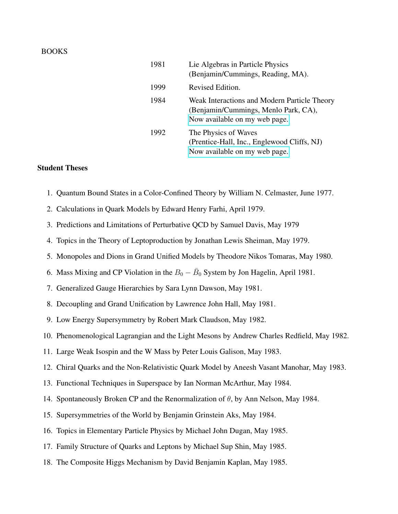#### BOOKS

| 1981 | Lie Algebras in Particle Physics<br>(Benjamin/Cummings, Reading, MA).                                                 |
|------|-----------------------------------------------------------------------------------------------------------------------|
| 1999 | Revised Edition.                                                                                                      |
| 1984 | Weak Interactions and Modern Particle Theory<br>(Benjamin/Cummings, Menlo Park, CA),<br>Now available on my web page. |
| 1992 | The Physics of Waves<br>(Prentice-Hall, Inc., Englewood Cliffs, NJ)<br>Now available on my web page.                  |

### Student Theses

- 1. Quantum Bound States in a Color-Confined Theory by William N. Celmaster, June 1977.
- 2. Calculations in Quark Models by Edward Henry Farhi, April 1979.
- 3. Predictions and Limitations of Perturbative QCD by Samuel Davis, May 1979
- 4. Topics in the Theory of Leptoproduction by Jonathan Lewis Sheiman, May 1979.
- 5. Monopoles and Dions in Grand Unified Models by Theodore Nikos Tomaras, May 1980.
- 6. Mass Mixing and CP Violation in the  $B_0 \bar{B}_0$  System by Jon Hagelin, April 1981.
- 7. Generalized Gauge Hierarchies by Sara Lynn Dawson, May 1981.
- 8. Decoupling and Grand Unification by Lawrence John Hall, May 1981.
- 9. Low Energy Supersymmetry by Robert Mark Claudson, May 1982.
- 10. Phenomenological Lagrangian and the Light Mesons by Andrew Charles Redfield, May 1982.
- 11. Large Weak Isospin and the W Mass by Peter Louis Galison, May 1983.
- 12. Chiral Quarks and the Non-Relativistic Quark Model by Aneesh Vasant Manohar, May 1983.
- 13. Functional Techniques in Superspace by Ian Norman McArthur, May 1984.
- 14. Spontaneously Broken CP and the Renormalization of  $\theta$ , by Ann Nelson, May 1984.
- 15. Supersymmetries of the World by Benjamin Grinstein Aks, May 1984.
- 16. Topics in Elementary Particle Physics by Michael John Dugan, May 1985.
- 17. Family Structure of Quarks and Leptons by Michael Sup Shin, May 1985.
- 18. The Composite Higgs Mechanism by David Benjamin Kaplan, May 1985.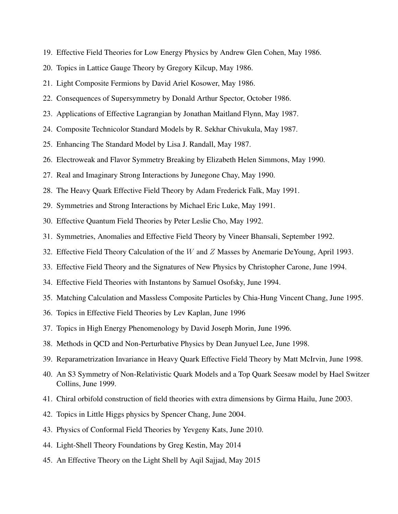- 19. Effective Field Theories for Low Energy Physics by Andrew Glen Cohen, May 1986.
- 20. Topics in Lattice Gauge Theory by Gregory Kilcup, May 1986.
- 21. Light Composite Fermions by David Ariel Kosower, May 1986.
- 22. Consequences of Supersymmetry by Donald Arthur Spector, October 1986.
- 23. Applications of Effective Lagrangian by Jonathan Maitland Flynn, May 1987.
- 24. Composite Technicolor Standard Models by R. Sekhar Chivukula, May 1987.
- 25. Enhancing The Standard Model by Lisa J. Randall, May 1987.
- 26. Electroweak and Flavor Symmetry Breaking by Elizabeth Helen Simmons, May 1990.
- 27. Real and Imaginary Strong Interactions by Junegone Chay, May 1990.
- 28. The Heavy Quark Effective Field Theory by Adam Frederick Falk, May 1991.
- 29. Symmetries and Strong Interactions by Michael Eric Luke, May 1991.
- 30. Effective Quantum Field Theories by Peter Leslie Cho, May 1992.
- 31. Symmetries, Anomalies and Effective Field Theory by Vineer Bhansali, September 1992.
- 32. Effective Field Theory Calculation of the W and  $Z$  Masses by Anemarie DeYoung, April 1993.
- 33. Effective Field Theory and the Signatures of New Physics by Christopher Carone, June 1994.
- 34. Effective Field Theories with Instantons by Samuel Osofsky, June 1994.
- 35. Matching Calculation and Massless Composite Particles by Chia-Hung Vincent Chang, June 1995.
- 36. Topics in Effective Field Theories by Lev Kaplan, June 1996
- 37. Topics in High Energy Phenomenology by David Joseph Morin, June 1996.
- 38. Methods in QCD and Non-Perturbative Physics by Dean Junyuel Lee, June 1998.
- 39. Reparametrization Invariance in Heavy Quark Effective Field Theory by Matt McIrvin, June 1998.
- 40. An S3 Symmetry of Non-Relativistic Quark Models and a Top Quark Seesaw model by Hael Switzer Collins, June 1999.
- 41. Chiral orbifold construction of field theories with extra dimensions by Girma Hailu, June 2003.
- 42. Topics in Little Higgs physics by Spencer Chang, June 2004.
- 43. Physics of Conformal Field Theories by Yevgeny Kats, June 2010.
- 44. Light-Shell Theory Foundations by Greg Kestin, May 2014
- 45. An Effective Theory on the Light Shell by Aqil Sajjad, May 2015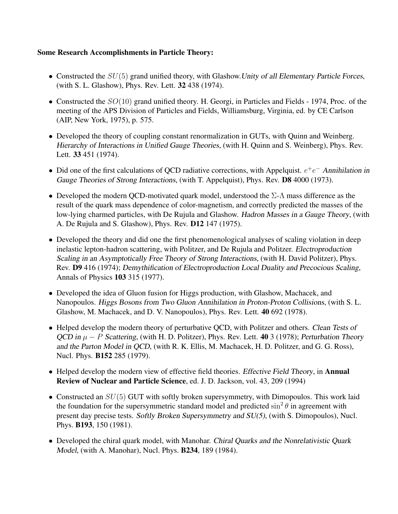### Some Research Accomplishments in Particle Theory:

- Constructed the  $SU(5)$  grand unified theory, with Glashow. Unity of all Elementary Particle Forces, (with S. L. Glashow), Phys. Rev. Lett. 32 438 (1974).
- Constructed the  $SO(10)$  grand unified theory. H. Georgi, in Particles and Fields 1974, Proc. of the meeting of the APS Division of Particles and Fields, Williamsburg, Virginia, ed. by CE Carlson (AIP, New York, 1975), p. 575.
- Developed the theory of coupling constant renormalization in GUTs, with Quinn and Weinberg. Hierarchy of Interactions in Unified Gauge Theories, (with H. Quinn and S. Weinberg), Phys. Rev. Lett. 33 451 (1974).
- Did one of the first calculations of QCD radiative corrections, with Appelquist.  $e^+e^-$  Annihilation in Gauge Theories of Strong Interactions, (with T. Appelquist), Phys. Rev. **D8** 4000 (1973).
- Developed the modern QCD-motivated quark model, understood the  $\Sigma$ - $\Lambda$  mass difference as the result of the quark mass dependence of color-magnetism, and correctly predicted the masses of the low-lying charmed particles, with De Rujula and Glashow. Hadron Masses in a Gauge Theory, (with A. De Rujula and S. Glashow), Phys. Rev. D12 147 (1975).
- Developed the theory and did one the first phenomenological analyses of scaling violation in deep inelastic lepton-hadron scattering, with Politzer, and De Rujula and Politzer. Electroproduction Scaling in an Asymptotically Free Theory of Strong Interactions, (with H. David Politzer), Phys. Rev. D9 416 (1974); Demythification of Electroproduction Local Duality and Precocious Scaling, Annals of Physics 103 315 (1977).
- Developed the idea of Gluon fusion for Higgs production, with Glashow, Machacek, and Nanopoulos. Higgs Bosons from Two Gluon Annihilation in Proton-Proton Collisions, (with S. L. Glashow, M. Machacek, and D. V. Nanopoulos), Phys. Rev. Lett. 40 692 (1978).
- Helped develop the modern theory of perturbative QCD, with Politzer and others. Clean Tests of QCD in  $\mu - P$  Scattering, (with H. D. Politzer), Phys. Rev. Lett. 40 3 (1978); Perturbation Theory and the Parton Model in QCD, (with R. K. Ellis, M. Machacek, H. D. Politzer, and G. G. Ross), Nucl. Phys. B152 285 (1979).
- Helped develop the modern view of effective field theories. Effective Field Theory, in **Annual** Review of Nuclear and Particle Science, ed. J. D. Jackson, vol. 43, 209 (1994)
- Constructed an  $SU(5)$  GUT with softly broken supersymmetry, with Dimopoulos. This work laid the foundation for the supersymmetric standard model and predicted  $\sin^2\theta$  in agreement with present day precise tests. Softly Broken Supersymmetry and SU(5), (with S. Dimopoulos), Nucl. Phys. B193, 150 (1981).
- Developed the chiral quark model, with Manohar. Chiral Quarks and the Nonrelativistic Quark Model, (with A. Manohar), Nucl. Phys. B234, 189 (1984).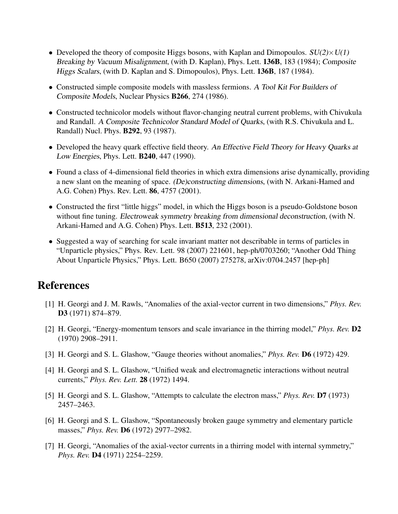- Developed the theory of composite Higgs bosons, with Kaplan and Dimopoulos.  $SU(2)\times U(1)$ Breaking by Vacuum Misalignment, (with D. Kaplan), Phys. Lett. 136B, 183 (1984); Composite Higgs Scalars, (with D. Kaplan and S. Dimopoulos), Phys. Lett. 136B, 187 (1984).
- Constructed simple composite models with massless fermions. A Tool Kit For Builders of Composite Models, Nuclear Physics B266, 274 (1986).
- Constructed technicolor models without flavor-changing neutral current problems, with Chivukula and Randall. A Composite Technicolor Standard Model of Quarks, (with R.S. Chivukula and L. Randall) Nucl. Phys. B292, 93 (1987).
- Developed the heavy quark effective field theory. An Effective Field Theory for Heavy Quarks at Low Energies, Phys. Lett. B240, 447 (1990).
- Found a class of 4-dimensional field theories in which extra dimensions arise dynamically, providing a new slant on the meaning of space. (De)constructing dimensions, (with N. Arkani-Hamed and A.G. Cohen) Phys. Rev. Lett. 86, 4757 (2001).
- Constructed the first "little higgs" model, in which the Higgs boson is a pseudo-Goldstone boson without fine tuning. Electroweak symmetry breaking from dimensional deconstruction, (with N. Arkani-Hamed and A.G. Cohen) Phys. Lett. B513, 232 (2001).
- Suggested a way of searching for scale invariant matter not describable in terms of particles in "Unparticle physics," Phys. Rev. Lett. 98 (2007) 221601, hep-ph/0703260; "Another Odd Thing About Unparticle Physics," Phys. Lett. B650 (2007) 275278, arXiv:0704.2457 [hep-ph]

# References

- [1] H. Georgi and J. M. Rawls, "Anomalies of the axial-vector current in two dimensions," *Phys. Rev.* D<sub>3</sub> (1971) 874–879.
- [2] H. Georgi, "Energy-momentum tensors and scale invariance in the thirring model," *Phys. Rev.* D2 (1970) 2908–2911.
- [3] H. Georgi and S. L. Glashow, "Gauge theories without anomalies," *Phys. Rev.* D6 (1972) 429.
- [4] H. Georgi and S. L. Glashow, "Unified weak and electromagnetic interactions without neutral currents," *Phys. Rev. Lett.* 28 (1972) 1494.
- [5] H. Georgi and S. L. Glashow, "Attempts to calculate the electron mass," *Phys. Rev.* D7 (1973) 2457–2463.
- [6] H. Georgi and S. L. Glashow, "Spontaneously broken gauge symmetry and elementary particle masses," *Phys. Rev.* D6 (1972) 2977–2982.
- [7] H. Georgi, "Anomalies of the axial-vector currents in a thirring model with internal symmetry," *Phys. Rev.* D4 (1971) 2254–2259.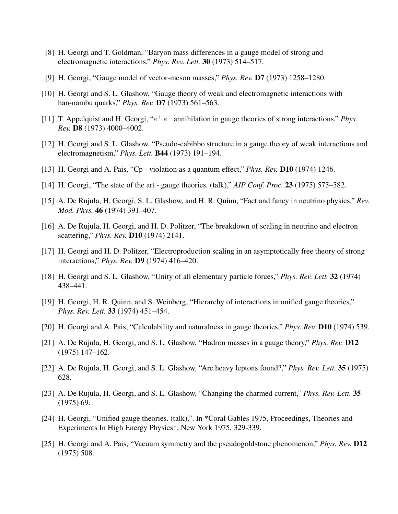- [8] H. Georgi and T. Goldman, "Baryon mass differences in a gauge model of strong and electromagnetic interactions," *Phys. Rev. Lett.* 30 (1973) 514–517.
- [9] H. Georgi, "Gauge model of vector-meson masses," *Phys. Rev.* D7 (1973) 1258–1280.
- [10] H. Georgi and S. L. Glashow, "Gauge theory of weak and electromagnetic interactions with han-nambu quarks," *Phys. Rev.* D7 (1973) 561–563.
- [11] T. Appelquist and H. Georgi, "e <sup>+</sup> e <sup>−</sup> annihilation in gauge theories of strong interactions," *Phys. Rev.* D8 (1973) 4000–4002.
- [12] H. Georgi and S. L. Glashow, "Pseudo-cabibbo structure in a gauge theory of weak interactions and electromagnetism," *Phys. Lett.* B44 (1973) 191–194.
- [13] H. Georgi and A. Pais, "Cp violation as a quantum effect," *Phys. Rev.* D10 (1974) 1246.
- [14] H. Georgi, "The state of the art gauge theories. (talk)," *AIP Conf. Proc.* 23 (1975) 575–582.
- [15] A. De Rujula, H. Georgi, S. L. Glashow, and H. R. Quinn, "Fact and fancy in neutrino physics," *Rev. Mod. Phys.* 46 (1974) 391–407.
- [16] A. De Rujula, H. Georgi, and H. D. Politzer, "The breakdown of scaling in neutrino and electron scattering," *Phys. Rev.* D10 (1974) 2141.
- [17] H. Georgi and H. D. Politzer, "Electroproduction scaling in an asymptotically free theory of strong interactions," *Phys. Rev.* D9 (1974) 416–420.
- [18] H. Georgi and S. L. Glashow, "Unity of all elementary particle forces," *Phys. Rev. Lett.* 32 (1974) 438–441.
- [19] H. Georgi, H. R. Quinn, and S. Weinberg, "Hierarchy of interactions in unified gauge theories," *Phys. Rev. Lett.* 33 (1974) 451–454.
- [20] H. Georgi and A. Pais, "Calculability and naturalness in gauge theories," *Phys. Rev.* D10 (1974) 539.
- [21] A. De Rujula, H. Georgi, and S. L. Glashow, "Hadron masses in a gauge theory," *Phys. Rev.* D12 (1975) 147–162.
- [22] A. De Rujula, H. Georgi, and S. L. Glashow, "Are heavy leptons found?," *Phys. Rev. Lett.* 35 (1975) 628.
- [23] A. De Rujula, H. Georgi, and S. L. Glashow, "Changing the charmed current," *Phys. Rev. Lett.* 35 (1975) 69.
- [24] H. Georgi, "Unified gauge theories. (talk),". In \*Coral Gables 1975, Proceedings, Theories and Experiments In High Energy Physics\*, New York 1975, 329-339.
- [25] H. Georgi and A. Pais, "Vacuum symmetry and the pseudogoldstone phenomenon," *Phys. Rev.* D12 (1975) 508.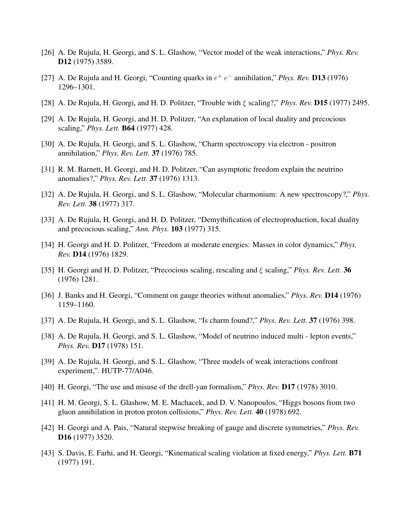- [26] A. De Rujula, H. Georgi, and S. L. Glashow, "Vector model of the weak interactions," *Phys. Rev.* D<sub>12</sub> (1975) 3589.
- [27] A. De Rujula and H. Georgi, "Counting quarks in  $e^+e^-$  annihilation," *Phys. Rev.* **D13** (1976) 1296–1301.
- [28] A. De Rujula, H. Georgi, and H. D. Politzer, "Trouble with ξ scaling?," *Phys. Rev.* D15 (1977) 2495.
- [29] A. De Rujula, H. Georgi, and H. D. Politzer, "An explanation of local duality and precocious scaling," *Phys. Lett.* B64 (1977) 428.
- [30] A. De Rujula, H. Georgi, and S. L. Glashow, "Charm spectroscopy via electron positron annihilation," *Phys. Rev. Lett.* 37 (1976) 785.
- [31] R. M. Barnett, H. Georgi, and H. D. Politzer, "Can asymptotic freedom explain the neutrino anomalies?," *Phys. Rev. Lett.* 37 (1976) 1313.
- [32] A. De Rujula, H. Georgi, and S. L. Glashow, "Molecular charmonium: A new spectroscopy?," *Phys. Rev. Lett.* 38 (1977) 317.
- [33] A. De Rujula, H. Georgi, and H. D. Politzer, "Demythification of electroproduction, local duality and precocious scaling," *Ann. Phys.* 103 (1977) 315.
- [34] H. Georgi and H. D. Politzer, "Freedom at moderate energies: Masses in color dynamics," *Phys. Rev.* D14 (1976) 1829.
- [35] H. Georgi and H. D. Politzer, "Precocious scaling, rescaling and ξ scaling," *Phys. Rev. Lett.* 36 (1976) 1281.
- [36] J. Banks and H. Georgi, "Comment on gauge theories without anomalies," *Phys. Rev.* D14 (1976) 1159–1160.
- [37] A. De Rujula, H. Georgi, and S. L. Glashow, "Is charm found?," *Phys. Rev. Lett.* 37 (1976) 398.
- [38] A. De Rujula, H. Georgi, and S. L. Glashow, "Model of neutrino induced multi lepton events," *Phys. Rev.* D17 (1978) 151.
- [39] A. De Rujula, H. Georgi, and S. L. Glashow, "Three models of weak interactions confront experiment,". HUTP-77/A046.
- [40] H. Georgi, "The use and misuse of the drell-yan formalism," *Phys. Rev.* **D17** (1978) 3010.
- [41] H. M. Georgi, S. L. Glashow, M. E. Machacek, and D. V. Nanopoulos, "Higgs bosons from two gluon annihilation in proton proton collisions," *Phys. Rev. Lett.* 40 (1978) 692.
- [42] H. Georgi and A. Pais, "Natural stepwise breaking of gauge and discrete symmetries," *Phys. Rev.* D16 (1977) 3520.
- [43] S. Davis, E. Farhi, and H. Georgi, "Kinematical scaling violation at fixed energy," *Phys. Lett.* B71 (1977) 191.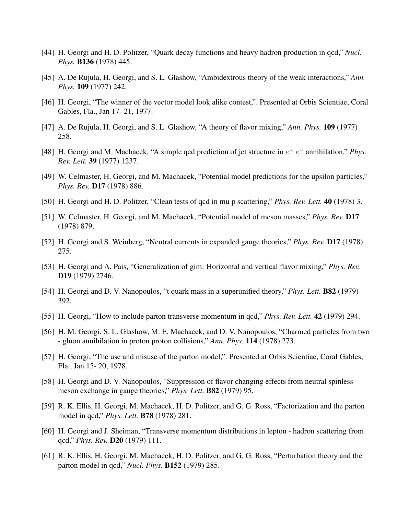- [44] H. Georgi and H. D. Politzer, "Quark decay functions and heavy hadron production in qcd," *Nucl. Phys.* B136 (1978) 445.
- [45] A. De Rujula, H. Georgi, and S. L. Glashow, "Ambidextrous theory of the weak interactions," *Ann. Phys.* 109 (1977) 242.
- [46] H. Georgi, "The winner of the vector model look alike contest,". Presented at Orbis Scientiae, Coral Gables, Fla., Jan 17- 21, 1977.
- [47] A. De Rujula, H. Georgi, and S. L. Glashow, "A theory of flavor mixing," *Ann. Phys.* 109 (1977) 258.
- [48] H. Georgi and M. Machacek, "A simple qcd prediction of jet structure in  $e^+ e^-$  annihilation," *Phys. Rev. Lett.* 39 (1977) 1237.
- [49] W. Celmaster, H. Georgi, and M. Machacek, "Potential model predictions for the upsilon particles," *Phys. Rev.* D17 (1978) 886.
- [50] H. Georgi and H. D. Politzer, "Clean tests of qcd in mu p scattering," *Phys. Rev. Lett.* 40 (1978) 3.
- [51] W. Celmaster, H. Georgi, and M. Machacek, "Potential model of meson masses," *Phys. Rev.* D17 (1978) 879.
- [52] H. Georgi and S. Weinberg, "Neutral currents in expanded gauge theories," *Phys. Rev.* D17 (1978) 275.
- [53] H. Georgi and A. Pais, "Generalization of gim: Horizontal and vertical flavor mixing," *Phys. Rev.* D19 (1979) 2746.
- [54] H. Georgi and D. V. Nanopoulos, "t quark mass in a superunified theory," *Phys. Lett.* B82 (1979) 392.
- [55] H. Georgi, "How to include parton transverse momentum in qcd," *Phys. Rev. Lett.* 42 (1979) 294.
- [56] H. M. Georgi, S. L. Glashow, M. E. Machacek, and D. V. Nanopoulos, "Charmed particles from two - gluon annihilation in proton proton collisions," *Ann. Phys.* 114 (1978) 273.
- [57] H. Georgi, "The use and misuse of the parton model,". Presented at Orbis Scientiae, Coral Gables, Fla., Jan 15- 20, 1978.
- [58] H. Georgi and D. V. Nanopoulos, "Suppression of flavor changing effects from neutral spinless meson exchange in gauge theories," *Phys. Lett.* B82 (1979) 95.
- [59] R. K. Ellis, H. Georgi, M. Machacek, H. D. Politzer, and G. G. Ross, "Factorization and the parton model in qcd," *Phys. Lett.* B78 (1978) 281.
- [60] H. Georgi and J. Sheiman, "Transverse momentum distributions in lepton hadron scattering from qcd," *Phys. Rev.* D20 (1979) 111.
- [61] R. K. Ellis, H. Georgi, M. Machacek, H. D. Politzer, and G. G. Ross, "Perturbation theory and the parton model in qcd," *Nucl. Phys.* B152 (1979) 285.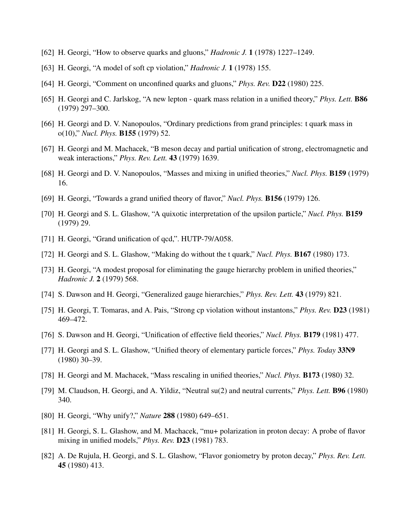- [62] H. Georgi, "How to observe quarks and gluons," *Hadronic J.* 1 (1978) 1227–1249.
- [63] H. Georgi, "A model of soft cp violation," *Hadronic J.* 1 (1978) 155.
- [64] H. Georgi, "Comment on unconfined quarks and gluons," *Phys. Rev.* D22 (1980) 225.
- [65] H. Georgi and C. Jarlskog, "A new lepton quark mass relation in a unified theory," *Phys. Lett.* B86 (1979) 297–300.
- [66] H. Georgi and D. V. Nanopoulos, "Ordinary predictions from grand principles: t quark mass in o(10)," *Nucl. Phys.* B155 (1979) 52.
- [67] H. Georgi and M. Machacek, "B meson decay and partial unification of strong, electromagnetic and weak interactions," *Phys. Rev. Lett.* 43 (1979) 1639.
- [68] H. Georgi and D. V. Nanopoulos, "Masses and mixing in unified theories," *Nucl. Phys.* B159 (1979) 16.
- [69] H. Georgi, "Towards a grand unified theory of flavor," *Nucl. Phys.* B156 (1979) 126.
- [70] H. Georgi and S. L. Glashow, "A quixotic interpretation of the upsilon particle," *Nucl. Phys.* B159 (1979) 29.
- [71] H. Georgi, "Grand unification of qcd,". HUTP-79/A058.
- [72] H. Georgi and S. L. Glashow, "Making do without the t quark," *Nucl. Phys.* B167 (1980) 173.
- [73] H. Georgi, "A modest proposal for eliminating the gauge hierarchy problem in unified theories," *Hadronic J.* 2 (1979) 568.
- [74] S. Dawson and H. Georgi, "Generalized gauge hierarchies," *Phys. Rev. Lett.* 43 (1979) 821.
- [75] H. Georgi, T. Tomaras, and A. Pais, "Strong cp violation without instantons," *Phys. Rev.* D23 (1981) 469–472.
- [76] S. Dawson and H. Georgi, "Unification of effective field theories," *Nucl. Phys.* B179 (1981) 477.
- [77] H. Georgi and S. L. Glashow, "Unified theory of elementary particle forces," *Phys. Today* 33N9 (1980) 30–39.
- [78] H. Georgi and M. Machacek, "Mass rescaling in unified theories," *Nucl. Phys.* B173 (1980) 32.
- [79] M. Claudson, H. Georgi, and A. Yildiz, "Neutral su(2) and neutral currents," *Phys. Lett.* B96 (1980) 340.
- [80] H. Georgi, "Why unify?," *Nature* 288 (1980) 649–651.
- [81] H. Georgi, S. L. Glashow, and M. Machacek, "mu+ polarization in proton decay: A probe of flavor mixing in unified models," *Phys. Rev.* D23 (1981) 783.
- [82] A. De Rujula, H. Georgi, and S. L. Glashow, "Flavor goniometry by proton decay," *Phys. Rev. Lett.* 45 (1980) 413.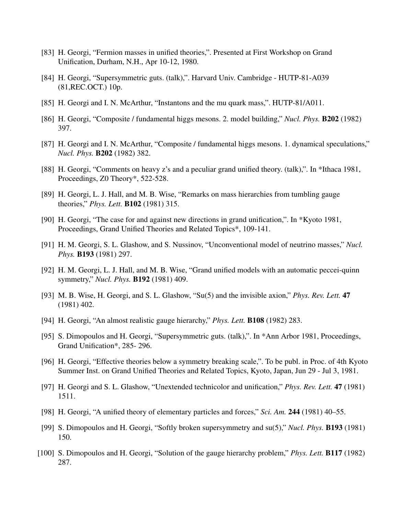- [83] H. Georgi, "Fermion masses in unified theories,". Presented at First Workshop on Grand Unification, Durham, N.H., Apr 10-12, 1980.
- [84] H. Georgi, "Supersymmetric guts. (talk),". Harvard Univ. Cambridge HUTP-81-A039 (81,REC.OCT.) 10p.
- [85] H. Georgi and I. N. McArthur, "Instantons and the mu quark mass,". HUTP-81/A011.
- [86] H. Georgi, "Composite / fundamental higgs mesons. 2. model building," *Nucl. Phys.* B202 (1982) 397.
- [87] H. Georgi and I. N. McArthur, "Composite / fundamental higgs mesons. 1. dynamical speculations," *Nucl. Phys.* B202 (1982) 382.
- [88] H. Georgi, "Comments on heavy z's and a peculiar grand unified theory. (talk),". In \*Ithaca 1981, Proceedings, Z0 Theory\*, 522-528.
- [89] H. Georgi, L. J. Hall, and M. B. Wise, "Remarks on mass hierarchies from tumbling gauge theories," *Phys. Lett.* B102 (1981) 315.
- [90] H. Georgi, "The case for and against new directions in grand unification,". In \*Kyoto 1981, Proceedings, Grand Unified Theories and Related Topics\*, 109-141.
- [91] H. M. Georgi, S. L. Glashow, and S. Nussinov, "Unconventional model of neutrino masses," *Nucl. Phys.* B193 (1981) 297.
- [92] H. M. Georgi, L. J. Hall, and M. B. Wise, "Grand unified models with an automatic peccei-quinn symmetry," *Nucl. Phys.* B192 (1981) 409.
- [93] M. B. Wise, H. Georgi, and S. L. Glashow, "Su(5) and the invisible axion," *Phys. Rev. Lett.* 47 (1981) 402.
- [94] H. Georgi, "An almost realistic gauge hierarchy," *Phys. Lett.* B108 (1982) 283.
- [95] S. Dimopoulos and H. Georgi, "Supersymmetric guts. (talk),". In \*Ann Arbor 1981, Proceedings, Grand Unification\*, 285- 296.
- [96] H. Georgi, "Effective theories below a symmetry breaking scale,". To be publ. in Proc. of 4th Kyoto Summer Inst. on Grand Unified Theories and Related Topics, Kyoto, Japan, Jun 29 - Jul 3, 1981.
- [97] H. Georgi and S. L. Glashow, "Unextended technicolor and unification," *Phys. Rev. Lett.* 47 (1981) 1511.
- [98] H. Georgi, "A unified theory of elementary particles and forces," *Sci. Am.* 244 (1981) 40–55.
- [99] S. Dimopoulos and H. Georgi, "Softly broken supersymmetry and su(5)," *Nucl. Phys.* B193 (1981) 150.
- [100] S. Dimopoulos and H. Georgi, "Solution of the gauge hierarchy problem," *Phys. Lett.* B117 (1982) 287.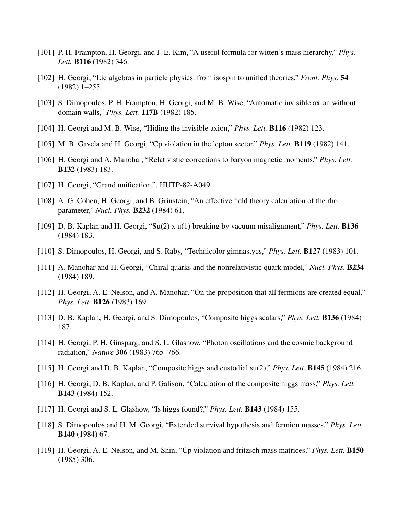- [101] P. H. Frampton, H. Georgi, and J. E. Kim, "A useful formula for witten's mass hierarchy," *Phys. Lett.* B116 (1982) 346.
- [102] H. Georgi, "Lie algebras in particle physics. from isospin to unified theories," *Front. Phys.* 54 (1982) 1–255.
- [103] S. Dimopoulos, P. H. Frampton, H. Georgi, and M. B. Wise, "Automatic invisible axion without domain walls," *Phys. Lett.* 117B (1982) 185.
- [104] H. Georgi and M. B. Wise, "Hiding the invisible axion," *Phys. Lett.* B116 (1982) 123.
- [105] M. B. Gavela and H. Georgi, "Cp violation in the lepton sector," *Phys. Lett.* B119 (1982) 141.
- [106] H. Georgi and A. Manohar, "Relativistic corrections to baryon magnetic moments," *Phys. Lett.* B132 (1983) 183.
- [107] H. Georgi, "Grand unification,". HUTP-82-A049.
- [108] A. G. Cohen, H. Georgi, and B. Grinstein, "An effective field theory calculation of the rho parameter," *Nucl. Phys.* B232 (1984) 61.
- [109] D. B. Kaplan and H. Georgi, "Su(2) x u(1) breaking by vacuum misalignment," *Phys. Lett.* B136 (1984) 183.
- [110] S. Dimopoulos, H. Georgi, and S. Raby, "Technicolor gimnastycs," *Phys. Lett.* B127 (1983) 101.
- [111] A. Manohar and H. Georgi, "Chiral quarks and the nonrelativistic quark model," *Nucl. Phys.* B234 (1984) 189.
- [112] H. Georgi, A. E. Nelson, and A. Manohar, "On the proposition that all fermions are created equal," *Phys. Lett.* B126 (1983) 169.
- [113] D. B. Kaplan, H. Georgi, and S. Dimopoulos, "Composite higgs scalars," *Phys. Lett.* B136 (1984) 187.
- [114] H. Georgi, P. H. Ginsparg, and S. L. Glashow, "Photon oscillations and the cosmic background radiation," *Nature* 306 (1983) 765–766.
- [115] H. Georgi and D. B. Kaplan, "Composite higgs and custodial su(2)," *Phys. Lett.* B145 (1984) 216.
- [116] H. Georgi, D. B. Kaplan, and P. Galison, "Calculation of the composite higgs mass," *Phys. Lett.* B143 (1984) 152.
- [117] H. Georgi and S. L. Glashow, "Is higgs found?," *Phys. Lett.* B143 (1984) 155.
- [118] S. Dimopoulos and H. M. Georgi, "Extended survival hypothesis and fermion masses," *Phys. Lett.* B140 (1984) 67.
- [119] H. Georgi, A. E. Nelson, and M. Shin, "Cp violation and fritzsch mass matrices," *Phys. Lett.* B150 (1985) 306.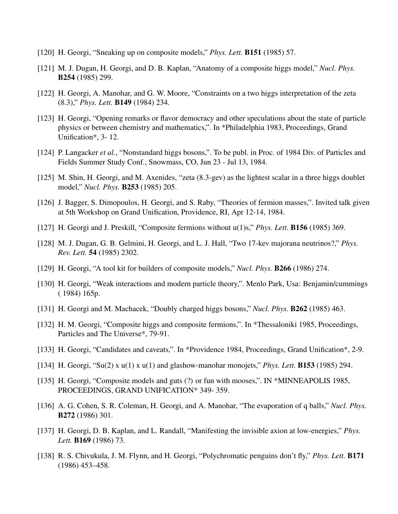- [120] H. Georgi, "Sneaking up on composite models," *Phys. Lett.* B151 (1985) 57.
- [121] M. J. Dugan, H. Georgi, and D. B. Kaplan, "Anatomy of a composite higgs model," *Nucl. Phys.* B254 (1985) 299.
- [122] H. Georgi, A. Manohar, and G. W. Moore, "Constraints on a two higgs interpretation of the zeta (8.3)," *Phys. Lett.* B149 (1984) 234.
- [123] H. Georgi, "Opening remarks or flavor democracy and other speculations about the state of particle physics or between chemistry and mathematics,". In \*Philadelphia 1983, Proceedings, Grand Unification\*, 3- 12.
- [124] P. Langacker *et al.*, "Nonstandard higgs bosons,". To be publ. in Proc. of 1984 Div. of Particles and Fields Summer Study Conf., Snowmass, CO, Jun 23 - Jul 13, 1984.
- [125] M. Shin, H. Georgi, and M. Axenides, "zeta (8.3-gev) as the lightest scalar in a three higgs doublet model," *Nucl. Phys.* B253 (1985) 205.
- [126] J. Bagger, S. Dimopoulos, H. Georgi, and S. Raby, "Theories of fermion masses,". Invited talk given at 5th Workshop on Grand Unification, Providence, RI, Apr 12-14, 1984.
- [127] H. Georgi and J. Preskill, "Composite fermions without u(1)s," *Phys. Lett.* B156 (1985) 369.
- [128] M. J. Dugan, G. B. Gelmini, H. Georgi, and L. J. Hall, "Two 17-kev majorana neutrinos?," *Phys. Rev. Lett.* 54 (1985) 2302.
- [129] H. Georgi, "A tool kit for builders of composite models," *Nucl. Phys.* B266 (1986) 274.
- [130] H. Georgi, "Weak interactions and modern particle theory,". Menlo Park, Usa: Benjamin/cummings ( 1984) 165p.
- [131] H. Georgi and M. Machacek, "Doubly charged higgs bosons," *Nucl. Phys.* B262 (1985) 463.
- [132] H. M. Georgi, "Composite higgs and composite fermions,". In \*Thessaloniki 1985, Proceedings, Particles and The Universe\*, 79-91.
- [133] H. Georgi, "Candidates and caveats,". In \*Providence 1984, Proceedings, Grand Unification\*, 2-9.
- [134] H. Georgi, "Su(2) x u(1) x u(1) and glashow-manohar monojets," *Phys. Lett.* B153 (1985) 294.
- [135] H. Georgi, "Composite models and guts (?) or fun with mooses,". IN \*MINNEAPOLIS 1985, PROCEEDINGS, GRAND UNIFICATION\* 349- 359.
- [136] A. G. Cohen, S. R. Coleman, H. Georgi, and A. Manohar, "The evaporation of q balls," *Nucl. Phys.* B272 (1986) 301.
- [137] H. Georgi, D. B. Kaplan, and L. Randall, "Manifesting the invisible axion at low-energies," *Phys. Lett.* B169 (1986) 73.
- [138] R. S. Chivukula, J. M. Flynn, and H. Georgi, "Polychromatic penguins don't fly," *Phys. Lett.* B171 (1986) 453–458.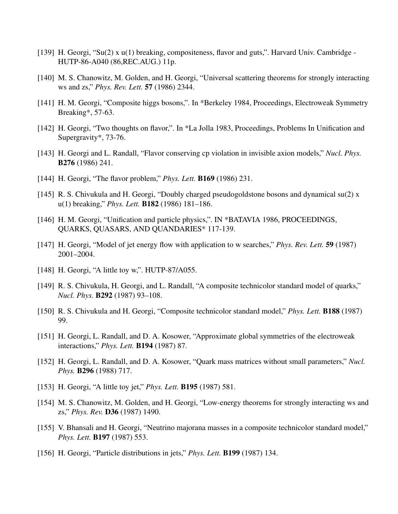- [139] H. Georgi, "Su(2) x u(1) breaking, compositeness, flavor and guts,". Harvard Univ. Cambridge HUTP-86-A040 (86,REC.AUG.) 11p.
- [140] M. S. Chanowitz, M. Golden, and H. Georgi, "Universal scattering theorems for strongly interacting ws and zs," *Phys. Rev. Lett.* 57 (1986) 2344.
- [141] H. M. Georgi, "Composite higgs bosons,". In \*Berkeley 1984, Proceedings, Electroweak Symmetry Breaking\*, 57-63.
- [142] H. Georgi, "Two thoughts on flavor,". In \*La Jolla 1983, Proceedings, Problems In Unification and Supergravity\*, 73-76.
- [143] H. Georgi and L. Randall, "Flavor conserving cp violation in invisible axion models," *Nucl. Phys.* B276 (1986) 241.
- [144] H. Georgi, "The flavor problem," *Phys. Lett.* B169 (1986) 231.
- [145] R. S. Chivukula and H. Georgi, "Doubly charged pseudogoldstone bosons and dynamical su(2) x u(1) breaking," *Phys. Lett.* B182 (1986) 181–186.
- [146] H. M. Georgi, "Unification and particle physics,". IN \*BATAVIA 1986, PROCEEDINGS, QUARKS, QUASARS, AND QUANDARIES\* 117-139.
- [147] H. Georgi, "Model of jet energy flow with application to w searches," *Phys. Rev. Lett.* **59** (1987) 2001–2004.
- [148] H. Georgi, "A little toy w,". HUTP-87/A055.
- [149] R. S. Chivukula, H. Georgi, and L. Randall, "A composite technicolor standard model of quarks," *Nucl. Phys.* B292 (1987) 93–108.
- [150] R. S. Chivukula and H. Georgi, "Composite technicolor standard model," *Phys. Lett.* B188 (1987) 99.
- [151] H. Georgi, L. Randall, and D. A. Kosower, "Approximate global symmetries of the electroweak interactions," *Phys. Lett.* B194 (1987) 87.
- [152] H. Georgi, L. Randall, and D. A. Kosower, "Quark mass matrices without small parameters," *Nucl. Phys.* B296 (1988) 717.
- [153] H. Georgi, "A little toy jet," *Phys. Lett.* B195 (1987) 581.
- [154] M. S. Chanowitz, M. Golden, and H. Georgi, "Low-energy theorems for strongly interacting ws and zs," *Phys. Rev.* D36 (1987) 1490.
- [155] V. Bhansali and H. Georgi, "Neutrino majorana masses in a composite technicolor standard model," *Phys. Lett.* B197 (1987) 553.
- [156] H. Georgi, "Particle distributions in jets," *Phys. Lett.* B199 (1987) 134.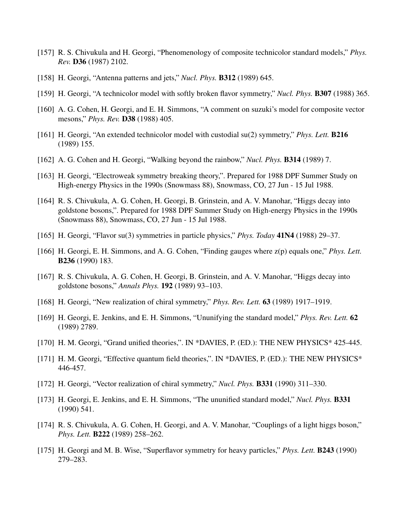- [157] R. S. Chivukula and H. Georgi, "Phenomenology of composite technicolor standard models," *Phys. Rev.* D36 (1987) 2102.
- [158] H. Georgi, "Antenna patterns and jets," *Nucl. Phys.* B312 (1989) 645.
- [159] H. Georgi, "A technicolor model with softly broken flavor symmetry," *Nucl. Phys.* B307 (1988) 365.
- [160] A. G. Cohen, H. Georgi, and E. H. Simmons, "A comment on suzuki's model for composite vector mesons," *Phys. Rev.* D38 (1988) 405.
- [161] H. Georgi, "An extended technicolor model with custodial su(2) symmetry," *Phys. Lett.* **B216** (1989) 155.
- [162] A. G. Cohen and H. Georgi, "Walking beyond the rainbow," *Nucl. Phys.* B314 (1989) 7.
- [163] H. Georgi, "Electroweak symmetry breaking theory,". Prepared for 1988 DPF Summer Study on High-energy Physics in the 1990s (Snowmass 88), Snowmass, CO, 27 Jun - 15 Jul 1988.
- [164] R. S. Chivukula, A. G. Cohen, H. Georgi, B. Grinstein, and A. V. Manohar, "Higgs decay into goldstone bosons,". Prepared for 1988 DPF Summer Study on High-energy Physics in the 1990s (Snowmass 88), Snowmass, CO, 27 Jun - 15 Jul 1988.
- [165] H. Georgi, "Flavor su(3) symmetries in particle physics," *Phys. Today* 41N4 (1988) 29–37.
- [166] H. Georgi, E. H. Simmons, and A. G. Cohen, "Finding gauges where z(p) equals one," *Phys. Lett.* B236 (1990) 183.
- [167] R. S. Chivukula, A. G. Cohen, H. Georgi, B. Grinstein, and A. V. Manohar, "Higgs decay into goldstone bosons," *Annals Phys.* 192 (1989) 93–103.
- [168] H. Georgi, "New realization of chiral symmetry," *Phys. Rev. Lett.* 63 (1989) 1917–1919.
- [169] H. Georgi, E. Jenkins, and E. H. Simmons, "Ununifying the standard model," *Phys. Rev. Lett.* 62 (1989) 2789.
- [170] H. M. Georgi, "Grand unified theories,". IN \*DAVIES, P. (ED.): THE NEW PHYSICS\* 425-445.
- [171] H. M. Georgi, "Effective quantum field theories,". IN \*DAVIES, P. (ED.): THE NEW PHYSICS\* 446-457.
- [172] H. Georgi, "Vector realization of chiral symmetry," *Nucl. Phys.* B331 (1990) 311–330.
- [173] H. Georgi, E. Jenkins, and E. H. Simmons, "The ununified standard model," *Nucl. Phys.* **B331** (1990) 541.
- [174] R. S. Chivukula, A. G. Cohen, H. Georgi, and A. V. Manohar, "Couplings of a light higgs boson," *Phys. Lett.* B222 (1989) 258–262.
- [175] H. Georgi and M. B. Wise, "Superflavor symmetry for heavy particles," *Phys. Lett.* B243 (1990) 279–283.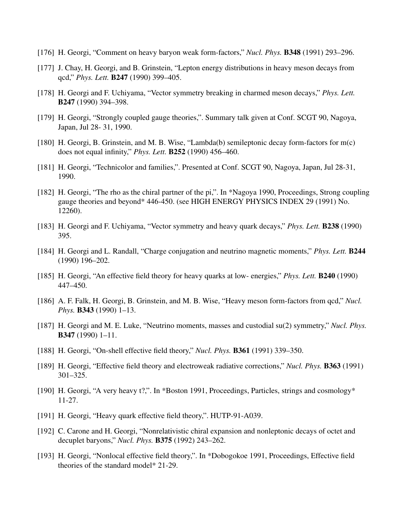- [176] H. Georgi, "Comment on heavy baryon weak form-factors," *Nucl. Phys.* B348 (1991) 293–296.
- [177] J. Chay, H. Georgi, and B. Grinstein, "Lepton energy distributions in heavy meson decays from qcd," *Phys. Lett.* B247 (1990) 399–405.
- [178] H. Georgi and F. Uchiyama, "Vector symmetry breaking in charmed meson decays," *Phys. Lett.* B247 (1990) 394–398.
- [179] H. Georgi, "Strongly coupled gauge theories,". Summary talk given at Conf. SCGT 90, Nagoya, Japan, Jul 28- 31, 1990.
- [180] H. Georgi, B. Grinstein, and M. B. Wise, "Lambda(b) semileptonic decay form-factors for m(c) does not equal infinity," *Phys. Lett.* B252 (1990) 456–460.
- [181] H. Georgi, "Technicolor and families,". Presented at Conf. SCGT 90, Nagoya, Japan, Jul 28-31, 1990.
- [182] H. Georgi, "The rho as the chiral partner of the pi,". In \*Nagoya 1990, Proceedings, Strong coupling gauge theories and beyond\* 446-450. (see HIGH ENERGY PHYSICS INDEX 29 (1991) No. 12260).
- [183] H. Georgi and F. Uchiyama, "Vector symmetry and heavy quark decays," *Phys. Lett.* B238 (1990) 395.
- [184] H. Georgi and L. Randall, "Charge conjugation and neutrino magnetic moments," *Phys. Lett.* B244 (1990) 196–202.
- [185] H. Georgi, "An effective field theory for heavy quarks at low- energies," *Phys. Lett.* B240 (1990) 447–450.
- [186] A. F. Falk, H. Georgi, B. Grinstein, and M. B. Wise, "Heavy meson form-factors from qcd," *Nucl. Phys.* B343 (1990) 1–13.
- [187] H. Georgi and M. E. Luke, "Neutrino moments, masses and custodial su(2) symmetry," *Nucl. Phys.* B347 (1990) 1–11.
- [188] H. Georgi, "On-shell effective field theory," *Nucl. Phys.* B361 (1991) 339–350.
- [189] H. Georgi, "Effective field theory and electroweak radiative corrections," *Nucl. Phys.* B363 (1991) 301–325.
- [190] H. Georgi, "A very heavy t?,". In \*Boston 1991, Proceedings, Particles, strings and cosmology\* 11-27.
- [191] H. Georgi, "Heavy quark effective field theory,". HUTP-91-A039.
- [192] C. Carone and H. Georgi, "Nonrelativistic chiral expansion and nonleptonic decays of octet and decuplet baryons," *Nucl. Phys.* B375 (1992) 243–262.
- [193] H. Georgi, "Nonlocal effective field theory,". In \*Dobogokoe 1991, Proceedings, Effective field theories of the standard model\* 21-29.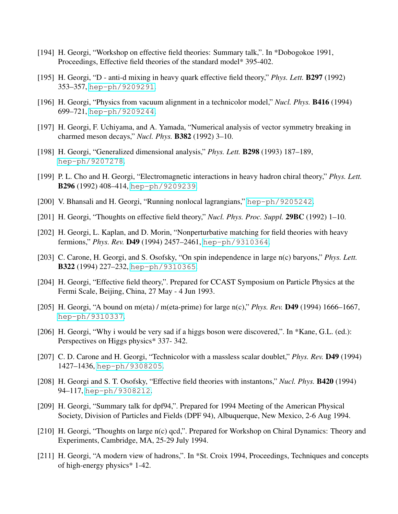- [194] H. Georgi, "Workshop on effective field theories: Summary talk,". In \*Dobogokoe 1991, Proceedings, Effective field theories of the standard model\* 395-402.
- [195] H. Georgi, "D anti-d mixing in heavy quark effective field theory," *Phys. Lett.* B297 (1992) 353–357, [hep-ph/9209291](http://www.arXiv.org/abs/hep-ph/9209291).
- [196] H. Georgi, "Physics from vacuum alignment in a technicolor model," *Nucl. Phys.* B416 (1994) 699–721, [hep-ph/9209244](http://www.arXiv.org/abs/hep-ph/9209244).
- [197] H. Georgi, F. Uchiyama, and A. Yamada, "Numerical analysis of vector symmetry breaking in charmed meson decays," *Nucl. Phys.* B382 (1992) 3–10.
- [198] H. Georgi, "Generalized dimensional analysis," *Phys. Lett.* B298 (1993) 187–189, [hep-ph/9207278](http://www.arXiv.org/abs/hep-ph/9207278).
- [199] P. L. Cho and H. Georgi, "Electromagnetic interactions in heavy hadron chiral theory," *Phys. Lett.* B296 (1992) 408–414, [hep-ph/9209239](http://www.arXiv.org/abs/hep-ph/9209239).
- [200] V. Bhansali and H. Georgi, "Running nonlocal lagrangians," [hep-ph/9205242](http://www.arXiv.org/abs/hep-ph/9205242).
- [201] H. Georgi, "Thoughts on effective field theory," *Nucl. Phys. Proc. Suppl.* **29BC** (1992) 1–10.
- [202] H. Georgi, L. Kaplan, and D. Morin, "Nonperturbative matching for field theories with heavy fermions," *Phys. Rev.* D49 (1994) 2457–2461, [hep-ph/9310364](http://www.arXiv.org/abs/hep-ph/9310364).
- [203] C. Carone, H. Georgi, and S. Osofsky, "On spin independence in large n(c) baryons," *Phys. Lett.* B322 (1994) 227–232, [hep-ph/9310365](http://www.arXiv.org/abs/hep-ph/9310365).
- [204] H. Georgi, "Effective field theory,". Prepared for CCAST Symposium on Particle Physics at the Fermi Scale, Beijing, China, 27 May - 4 Jun 1993.
- [205] H. Georgi, "A bound on m(eta) / m(eta-prime) for large n(c)," *Phys. Rev.* D49 (1994) 1666–1667, [hep-ph/9310337](http://www.arXiv.org/abs/hep-ph/9310337).
- [206] H. Georgi, "Why i would be very sad if a higgs boson were discovered,". In \*Kane, G.L. (ed.): Perspectives on Higgs physics\* 337- 342.
- [207] C. D. Carone and H. Georgi, "Technicolor with a massless scalar doublet," *Phys. Rev.* D49 (1994) 1427–1436, [hep-ph/9308205](http://www.arXiv.org/abs/hep-ph/9308205).
- [208] H. Georgi and S. T. Osofsky, "Effective field theories with instantons," *Nucl. Phys.* B420 (1994) 94–117, [hep-ph/9308212](http://www.arXiv.org/abs/hep-ph/9308212).
- [209] H. Georgi, "Summary talk for dpf94,". Prepared for 1994 Meeting of the American Physical Society, Division of Particles and Fields (DPF 94), Albuquerque, New Mexico, 2-6 Aug 1994.
- [210] H. Georgi, "Thoughts on large n(c) qcd,". Prepared for Workshop on Chiral Dynamics: Theory and Experiments, Cambridge, MA, 25-29 July 1994.
- [211] H. Georgi, "A modern view of hadrons,". In \*St. Croix 1994, Proceedings, Techniques and concepts of high-energy physics\* 1-42.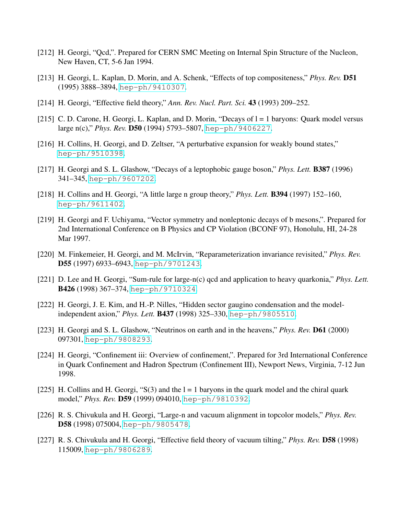- [212] H. Georgi, "Qcd,". Prepared for CERN SMC Meeting on Internal Spin Structure of the Nucleon, New Haven, CT, 5-6 Jan 1994.
- [213] H. Georgi, L. Kaplan, D. Morin, and A. Schenk, "Effects of top compositeness," *Phys. Rev.* D51 (1995) 3888–3894, [hep-ph/9410307](http://www.arXiv.org/abs/hep-ph/9410307).
- [214] H. Georgi, "Effective field theory," *Ann. Rev. Nucl. Part. Sci.* 43 (1993) 209–252.
- [215] C. D. Carone, H. Georgi, L. Kaplan, and D. Morin, "Decays of  $l = 1$  baryons: Quark model versus large n(c)," *Phys. Rev.* D50 (1994) 5793–5807, [hep-ph/9406227](http://www.arXiv.org/abs/hep-ph/9406227).
- [216] H. Collins, H. Georgi, and D. Zeltser, "A perturbative expansion for weakly bound states," [hep-ph/9510398](http://www.arXiv.org/abs/hep-ph/9510398).
- [217] H. Georgi and S. L. Glashow, "Decays of a leptophobic gauge boson," *Phys. Lett.* B387 (1996) 341–345, [hep-ph/9607202](http://www.arXiv.org/abs/hep-ph/9607202).
- [218] H. Collins and H. Georgi, "A little large n group theory," *Phys. Lett.* B394 (1997) 152–160, [hep-ph/9611402](http://www.arXiv.org/abs/hep-ph/9611402).
- [219] H. Georgi and F. Uchiyama, "Vector symmetry and nonleptonic decays of b mesons,". Prepared for 2nd International Conference on B Physics and CP Violation (BCONF 97), Honolulu, HI, 24-28 Mar 1997.
- [220] M. Finkemeier, H. Georgi, and M. McIrvin, "Reparameterization invariance revisited," *Phys. Rev.* D55 (1997) 6933-6943, [hep-ph/9701243](http://www.arXiv.org/abs/hep-ph/9701243).
- [221] D. Lee and H. Georgi, "Sum-rule for large-n(c) qcd and application to heavy quarkonia," *Phys. Lett.* B426 (1998) 367–374, [hep-ph/9710324](http://www.arXiv.org/abs/hep-ph/9710324).
- [222] H. Georgi, J. E. Kim, and H.-P. Nilles, "Hidden sector gaugino condensation and the modelindependent axion," *Phys. Lett.* B437 (1998) 325–330, [hep-ph/9805510](http://www.arXiv.org/abs/hep-ph/9805510).
- [223] H. Georgi and S. L. Glashow, "Neutrinos on earth and in the heavens," *Phys. Rev.* D61 (2000) 097301, [hep-ph/9808293](http://www.arXiv.org/abs/hep-ph/9808293).
- [224] H. Georgi, "Confinement iii: Overview of confinement,". Prepared for 3rd International Conference in Quark Confinement and Hadron Spectrum (Confinement III), Newport News, Virginia, 7-12 Jun 1998.
- [225] H. Collins and H. Georgi, "S(3) and the  $l = 1$  baryons in the quark model and the chiral quark model," *Phys. Rev.* D59 (1999) 094010, [hep-ph/9810392](http://www.arXiv.org/abs/hep-ph/9810392).
- [226] R. S. Chivukula and H. Georgi, "Large-n and vacuum alignment in topcolor models," *Phys. Rev.* D58 (1998) 075004, [hep-ph/9805478](http://www.arXiv.org/abs/hep-ph/9805478).
- [227] R. S. Chivukula and H. Georgi, "Effective field theory of vacuum tilting," *Phys. Rev.* D58 (1998) 115009, [hep-ph/9806289](http://www.arXiv.org/abs/hep-ph/9806289).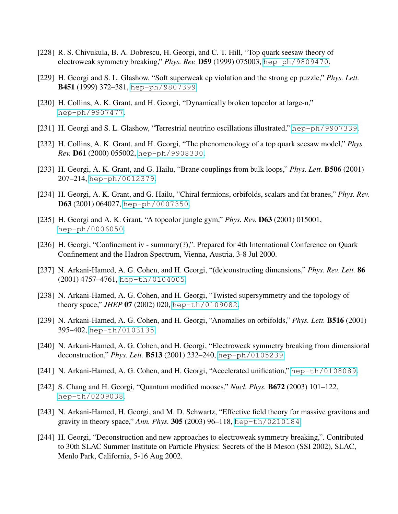- [228] R. S. Chivukula, B. A. Dobrescu, H. Georgi, and C. T. Hill, "Top quark seesaw theory of electroweak symmetry breaking," *Phys. Rev.* D59 (1999) 075003, [hep-ph/9809470](http://www.arXiv.org/abs/hep-ph/9809470).
- [229] H. Georgi and S. L. Glashow, "Soft superweak cp violation and the strong cp puzzle," *Phys. Lett.* B451 (1999) 372–381, [hep-ph/9807399](http://www.arXiv.org/abs/hep-ph/9807399).
- [230] H. Collins, A. K. Grant, and H. Georgi, "Dynamically broken topcolor at large-n," [hep-ph/9907477](http://www.arXiv.org/abs/hep-ph/9907477).
- [231] H. Georgi and S. L. Glashow, "Terrestrial neutrino oscillations illustrated," [hep-ph/9907339](http://www.arXiv.org/abs/hep-ph/9907339).
- [232] H. Collins, A. K. Grant, and H. Georgi, "The phenomenology of a top quark seesaw model," *Phys. Rev.* D61 (2000) 055002, [hep-ph/9908330](http://www.arXiv.org/abs/hep-ph/9908330).
- [233] H. Georgi, A. K. Grant, and G. Hailu, "Brane couplings from bulk loops," *Phys. Lett.* B506 (2001) 207–214, [hep-ph/0012379](http://www.arXiv.org/abs/hep-ph/0012379).
- [234] H. Georgi, A. K. Grant, and G. Hailu, "Chiral fermions, orbifolds, scalars and fat branes," *Phys. Rev.* D63 (2001) 064027, [hep-ph/0007350](http://www.arXiv.org/abs/hep-ph/0007350).
- [235] H. Georgi and A. K. Grant, "A topcolor jungle gym," *Phys. Rev.* D63 (2001) 015001, [hep-ph/0006050](http://www.arXiv.org/abs/hep-ph/0006050).
- [236] H. Georgi, "Confinement iv summary(?),". Prepared for 4th International Conference on Quark Confinement and the Hadron Spectrum, Vienna, Austria, 3-8 Jul 2000.
- [237] N. Arkani-Hamed, A. G. Cohen, and H. Georgi, "(de)constructing dimensions," *Phys. Rev. Lett.* 86 (2001) 4757–4761, [hep-th/0104005](http://www.arXiv.org/abs/hep-th/0104005).
- [238] N. Arkani-Hamed, A. G. Cohen, and H. Georgi, "Twisted supersymmetry and the topology of theory space," *JHEP* 07 (2002) 020, [hep-th/0109082](http://www.arXiv.org/abs/hep-th/0109082).
- [239] N. Arkani-Hamed, A. G. Cohen, and H. Georgi, "Anomalies on orbifolds," *Phys. Lett.* B516 (2001) 395–402, [hep-th/0103135](http://www.arXiv.org/abs/hep-th/0103135).
- [240] N. Arkani-Hamed, A. G. Cohen, and H. Georgi, "Electroweak symmetry breaking from dimensional deconstruction," *Phys. Lett.* B513 (2001) 232–240, [hep-ph/0105239](http://www.arXiv.org/abs/hep-ph/0105239).
- [241] N. Arkani-Hamed, A. G. Cohen, and H. Georgi, "Accelerated unification," [hep-th/0108089](http://www.arXiv.org/abs/hep-th/0108089).
- [242] S. Chang and H. Georgi, "Quantum modified mooses," *Nucl. Phys.* B672 (2003) 101–122, [hep-th/0209038](http://www.arXiv.org/abs/hep-th/0209038).
- [243] N. Arkani-Hamed, H. Georgi, and M. D. Schwartz, "Effective field theory for massive gravitons and gravity in theory space," *Ann. Phys.* 305 (2003) 96–118, [hep-th/0210184](http://www.arXiv.org/abs/hep-th/0210184).
- [244] H. Georgi, "Deconstruction and new approaches to electroweak symmetry breaking,". Contributed to 30th SLAC Summer Institute on Particle Physics: Secrets of the B Meson (SSI 2002), SLAC, Menlo Park, California, 5-16 Aug 2002.